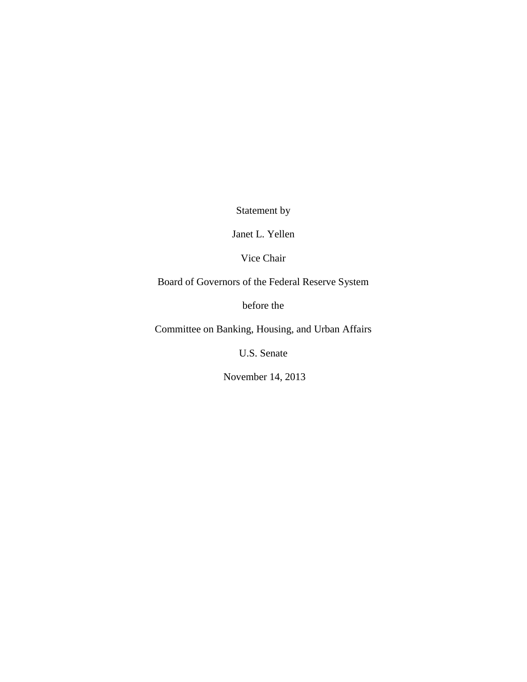Statement by

Janet L. Yellen

Vice Chair

Board of Governors of the Federal Reserve System

before the

Committee on Banking, Housing, and Urban Affairs

U.S. Senate

November 14, 2013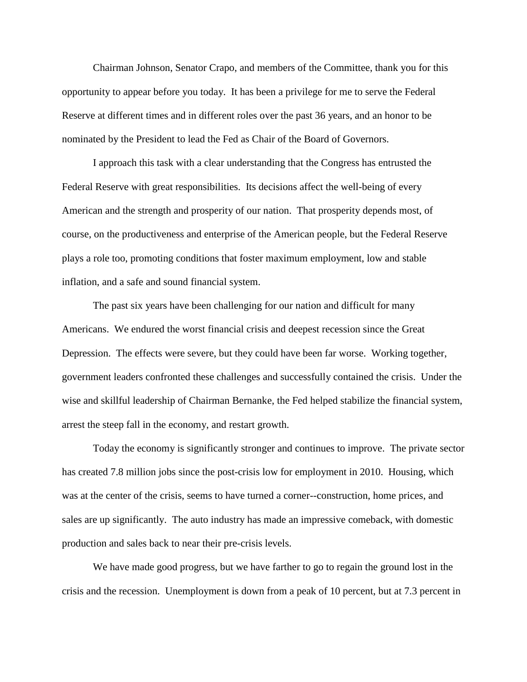Chairman Johnson, Senator Crapo, and members of the Committee, thank you for this opportunity to appear before you today. It has been a privilege for me to serve the Federal Reserve at different times and in different roles over the past 36 years, and an honor to be nominated by the President to lead the Fed as Chair of the Board of Governors.

I approach this task with a clear understanding that the Congress has entrusted the Federal Reserve with great responsibilities. Its decisions affect the well-being of every American and the strength and prosperity of our nation. That prosperity depends most, of course, on the productiveness and enterprise of the American people, but the Federal Reserve plays a role too, promoting conditions that foster maximum employment, low and stable inflation, and a safe and sound financial system.

The past six years have been challenging for our nation and difficult for many Americans. We endured the worst financial crisis and deepest recession since the Great Depression. The effects were severe, but they could have been far worse. Working together, government leaders confronted these challenges and successfully contained the crisis. Under the wise and skillful leadership of Chairman Bernanke, the Fed helped stabilize the financial system, arrest the steep fall in the economy, and restart growth.

Today the economy is significantly stronger and continues to improve. The private sector has created 7.8 million jobs since the post-crisis low for employment in 2010. Housing, which was at the center of the crisis, seems to have turned a corner--construction, home prices, and sales are up significantly. The auto industry has made an impressive comeback, with domestic production and sales back to near their pre-crisis levels.

We have made good progress, but we have farther to go to regain the ground lost in the crisis and the recession. Unemployment is down from a peak of 10 percent, but at 7.3 percent in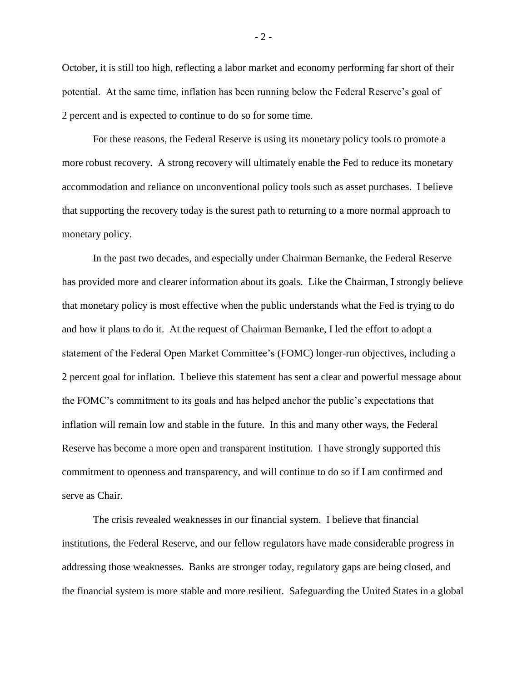October, it is still too high, reflecting a labor market and economy performing far short of their potential. At the same time, inflation has been running below the Federal Reserve's goal of 2 percent and is expected to continue to do so for some time.

For these reasons, the Federal Reserve is using its monetary policy tools to promote a more robust recovery. A strong recovery will ultimately enable the Fed to reduce its monetary accommodation and reliance on unconventional policy tools such as asset purchases. I believe that supporting the recovery today is the surest path to returning to a more normal approach to monetary policy.

In the past two decades, and especially under Chairman Bernanke, the Federal Reserve has provided more and clearer information about its goals. Like the Chairman, I strongly believe that monetary policy is most effective when the public understands what the Fed is trying to do and how it plans to do it. At the request of Chairman Bernanke, I led the effort to adopt a statement of the Federal Open Market Committee's (FOMC) longer-run objectives, including a 2 percent goal for inflation. I believe this statement has sent a clear and powerful message about the FOMC's commitment to its goals and has helped anchor the public's expectations that inflation will remain low and stable in the future. In this and many other ways, the Federal Reserve has become a more open and transparent institution. I have strongly supported this commitment to openness and transparency, and will continue to do so if I am confirmed and serve as Chair.

The crisis revealed weaknesses in our financial system. I believe that financial institutions, the Federal Reserve, and our fellow regulators have made considerable progress in addressing those weaknesses. Banks are stronger today, regulatory gaps are being closed, and the financial system is more stable and more resilient. Safeguarding the United States in a global

 $-2-$